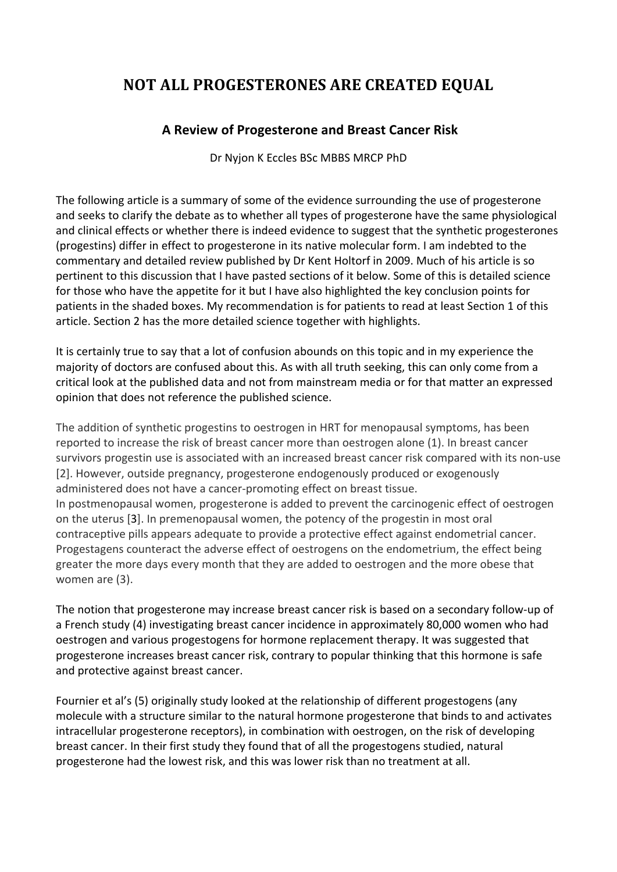# **NOT ALL PROGESTERONES ARE CREATED EQUAL**

## **A Review of Progesterone and Breast Cancer Risk**

Dr Nyjon K Eccles BSc MBBS MRCP PhD

The following article is a summary of some of the evidence surrounding the use of progesterone and seeks to clarify the debate as to whether all types of progesterone have the same physiological and clinical effects or whether there is indeed evidence to suggest that the synthetic progesterones (progestins) differ in effect to progesterone in its native molecular form. I am indebted to the commentary and detailed review published by Dr Kent Holtorf in 2009. Much of his article is so pertinent to this discussion that I have pasted sections of it below. Some of this is detailed science for those who have the appetite for it but I have also highlighted the key conclusion points for patients in the shaded boxes. My recommendation is for patients to read at least Section 1 of this article. Section 2 has the more detailed science together with highlights.

It is certainly true to say that a lot of confusion abounds on this topic and in my experience the majority of doctors are confused about this. As with all truth seeking, this can only come from a critical look at the published data and not from mainstream media or for that matter an expressed opinion that does not reference the published science.

The addition of synthetic progestins to oestrogen in HRT for menopausal symptoms, has been reported to increase the risk of breast cancer more than oestrogen alone (1). In breast cancer survivors progestin use is associated with an increased breast cancer risk compared with its non-use [2]. However, outside pregnancy, progesterone endogenously produced or exogenously administered does not have a cancer-promoting effect on breast tissue. In postmenopausal women, progesterone is added to prevent the carcinogenic effect of oestrogen on the uterus [3]. In premenopausal women, the potency of the progestin in most oral contraceptive pills appears adequate to provide a protective effect against endometrial cancer. Progestagens counteract the adverse effect of oestrogens on the endometrium, the effect being greater the more days every month that they are added to oestrogen and the more obese that women are (3).

The notion that progesterone may increase breast cancer risk is based on a secondary follow-up of a French study (4) investigating breast cancer incidence in approximately 80,000 women who had oestrogen and various progestogens for hormone replacement therapy. It was suggested that progesterone increases breast cancer risk, contrary to popular thinking that this hormone is safe and protective against breast cancer.

Fournier et al's (5) originally study looked at the relationship of different progestogens (any molecule with a structure similar to the natural hormone progesterone that binds to and activates intracellular progesterone receptors), in combination with oestrogen, on the risk of developing breast cancer. In their first study they found that of all the progestogens studied, natural progesterone had the lowest risk, and this was lower risk than no treatment at all.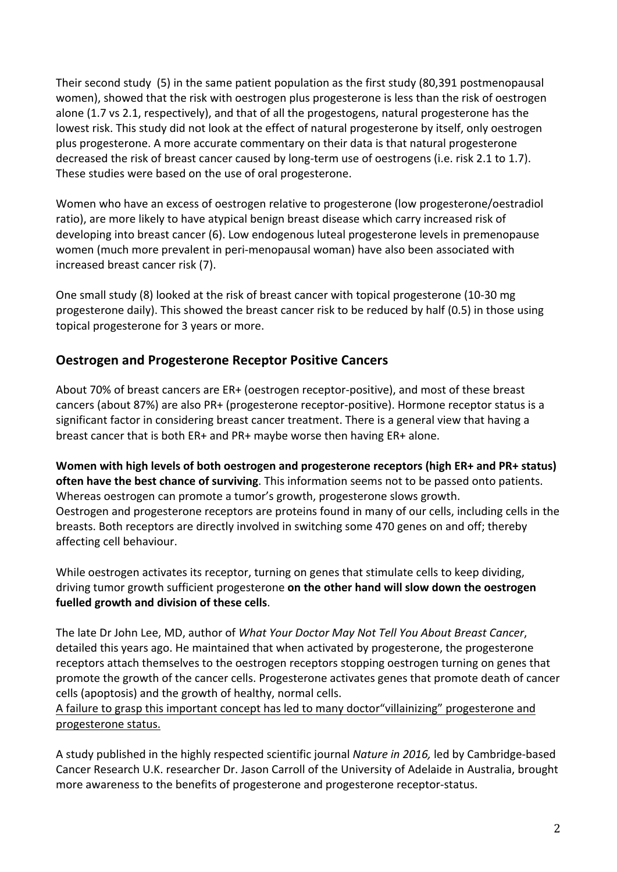Their second study (5) in the same patient population as the first study (80,391 postmenopausal women), showed that the risk with oestrogen plus progesterone is less than the risk of oestrogen alone (1.7 vs 2.1, respectively), and that of all the progestogens, natural progesterone has the lowest risk. This study did not look at the effect of natural progesterone by itself, only oestrogen plus progesterone. A more accurate commentary on their data is that natural progesterone decreased the risk of breast cancer caused by long-term use of oestrogens (i.e. risk 2.1 to 1.7). These studies were based on the use of oral progesterone.

Women who have an excess of oestrogen relative to progesterone (low progesterone/oestradiol ratio), are more likely to have atypical benign breast disease which carry increased risk of developing into breast cancer (6). Low endogenous luteal progesterone levels in premenopause women (much more prevalent in peri-menopausal woman) have also been associated with increased breast cancer risk (7).

One small study (8) looked at the risk of breast cancer with topical progesterone (10-30 mg progesterone daily). This showed the breast cancer risk to be reduced by half (0.5) in those using topical progesterone for 3 years or more.

## **Oestrogen and Progesterone Receptor Positive Cancers**

About 70% of breast cancers are ER+ (oestrogen receptor-positive), and most of these breast cancers (about 87%) are also PR+ (progesterone receptor-positive). Hormone receptor status is a significant factor in considering breast cancer treatment. There is a general view that having a breast cancer that is both  $ER+$  and  $PR+$  maybe worse then having  $ER+$  alone.

**Women with high levels of both oestrogen and progesterone receptors (high ER+ and PR+ status)** often have the best chance of surviving. This information seems not to be passed onto patients. Whereas oestrogen can promote a tumor's growth, progesterone slows growth. Oestrogen and progesterone receptors are proteins found in many of our cells, including cells in the breasts. Both receptors are directly involved in switching some 470 genes on and off; thereby affecting cell behaviour.

While oestrogen activates its receptor, turning on genes that stimulate cells to keep dividing, driving tumor growth sufficient progesterone on the other hand will slow down the oestrogen fuelled growth and division of these cells.

The late Dr John Lee, MD, author of *What Your Doctor May Not Tell You About Breast Cancer*, detailed this years ago. He maintained that when activated by progesterone, the progesterone receptors attach themselves to the oestrogen receptors stopping oestrogen turning on genes that promote the growth of the cancer cells. Progesterone activates genes that promote death of cancer cells (apoptosis) and the growth of healthy, normal cells.

#### A failure to grasp this important concept has led to many doctor"villainizing" progesterone and progesterone status.

A study published in the highly respected scientific journal *Nature in 2016*, led by Cambridge-based Cancer Research U.K. researcher Dr. Jason Carroll of the University of Adelaide in Australia, brought more awareness to the benefits of progesterone and progesterone receptor-status.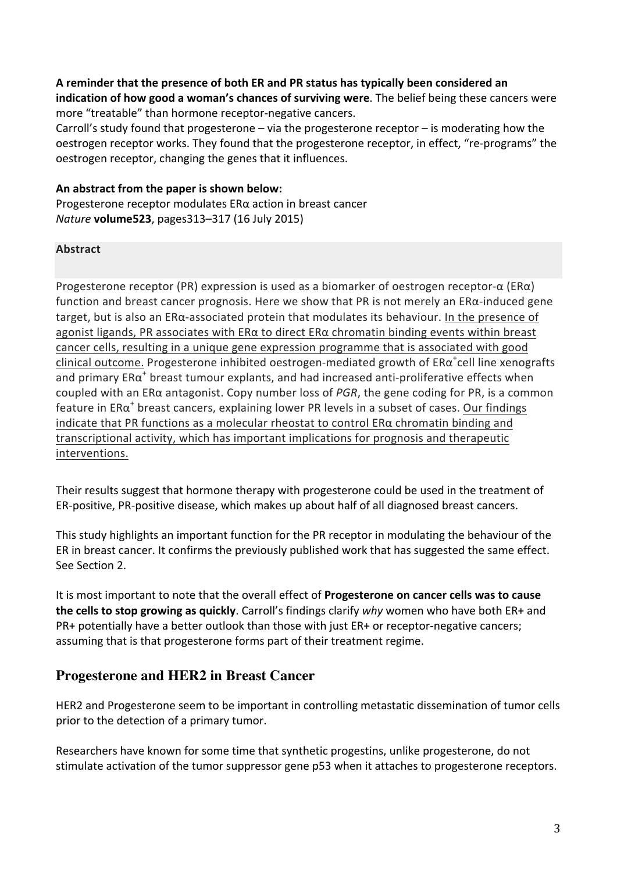### A reminder that the presence of both ER and PR status has typically been considered an

**indication of how good a woman's chances of surviving were**. The belief being these cancers were more "treatable" than hormone receptor-negative cancers.

Carroll's study found that progesterone  $-$  via the progesterone receptor  $-$  is moderating how the oestrogen receptor works. They found that the progesterone receptor, in effect, "re-programs" the oestrogen receptor, changing the genes that it influences.

#### **An abstract from the paper is shown below:**

Progesterone receptor modulates  $ER\alpha$  action in breast cancer *Nature* **volume523**, pages313–317 (16 July 2015)

#### **Abstract**

Progesterone receptor (PR) expression is used as a biomarker of oestrogen receptor- $\alpha$  (ER $\alpha$ ) function and breast cancer prognosis. Here we show that PR is not merely an  $ER\alpha$ -induced gene target, but is also an ER $\alpha$ -associated protein that modulates its behaviour. In the presence of agonist ligands, PR associates with  $ER\alpha$  to direct  $ER\alpha$  chromatin binding events within breast cancer cells, resulting in a unique gene expression programme that is associated with good  $clinical outcome$ . Progesterone inhibited oestrogen-mediated growth of  $ER\alpha^+cell$  line xenografts and primary  $ER\alpha^+$  breast tumour explants, and had increased anti-proliferative effects when coupled with an ERα antagonist. Copy number loss of PGR, the gene coding for PR, is a common feature in  $ER\alpha^*$  breast cancers, explaining lower PR levels in a subset of cases. Our findings indicate that PR functions as a molecular rheostat to control  $ER\alpha$  chromatin binding and transcriptional activity, which has important implications for prognosis and therapeutic interventions.

Their results suggest that hormone therapy with progesterone could be used in the treatment of ER-positive, PR-positive disease, which makes up about half of all diagnosed breast cancers.

This study highlights an important function for the PR receptor in modulating the behaviour of the ER in breast cancer. It confirms the previously published work that has suggested the same effect. See Section 2.

It is most important to note that the overall effect of **Progesterone** on cancer cells was to cause **the cells to stop growing as quickly**. Carroll's findings clarify *why* women who have both ER+ and PR+ potentially have a better outlook than those with just ER+ or receptor-negative cancers; assuming that is that progesterone forms part of their treatment regime.

## **Progesterone and HER2 in Breast Cancer**

HER2 and Progesterone seem to be important in controlling metastatic dissemination of tumor cells prior to the detection of a primary tumor.

Researchers have known for some time that synthetic progestins, unlike progesterone, do not stimulate activation of the tumor suppressor gene p53 when it attaches to progesterone receptors.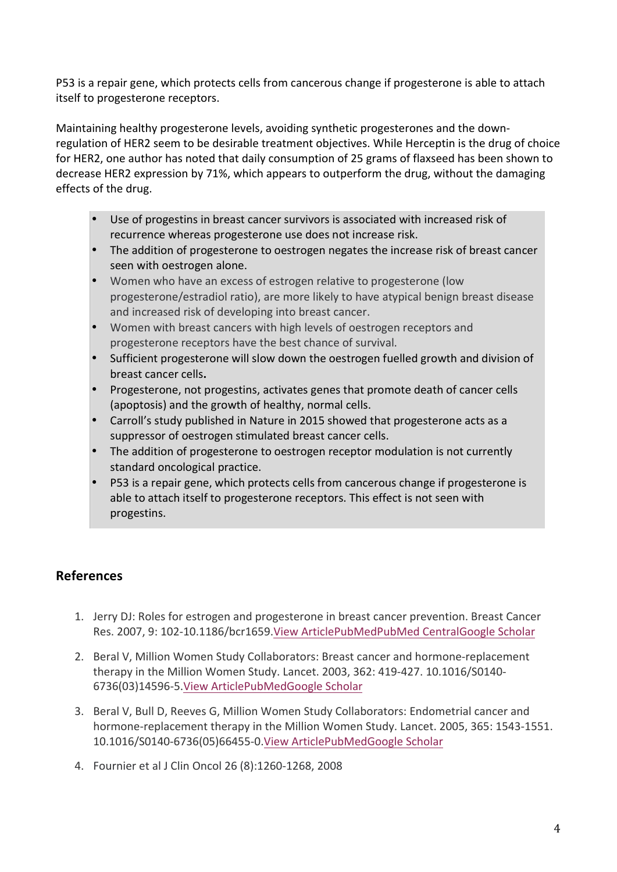P53 is a repair gene, which protects cells from cancerous change if progesterone is able to attach itself to progesterone receptors.

Maintaining healthy progesterone levels, avoiding synthetic progesterones and the downregulation of HER2 seem to be desirable treatment objectives. While Herceptin is the drug of choice for HER2, one author has noted that daily consumption of 25 grams of flaxseed has been shown to decrease HER2 expression by 71%, which appears to outperform the drug, without the damaging effects of the drug.

- Use of progestins in breast cancer survivors is associated with increased risk of recurrence whereas progesterone use does not increase risk.
- The addition of progesterone to oestrogen negates the increase risk of breast cancer seen with oestrogen alone.
- Women who have an excess of estrogen relative to progesterone (low progesterone/estradiol ratio), are more likely to have atypical benign breast disease and increased risk of developing into breast cancer.
- Women with breast cancers with high levels of oestrogen receptors and progesterone receptors have the best chance of survival.
- Sufficient progesterone will slow down the oestrogen fuelled growth and division of breast cancer cells**.**
- Progesterone, not progestins, activates genes that promote death of cancer cells (apoptosis) and the growth of healthy, normal cells.
- Carroll's study published in Nature in 2015 showed that progesterone acts as a suppressor of oestrogen stimulated breast cancer cells.
- The addition of progesterone to oestrogen receptor modulation is not currently standard oncological practice.
- P53 is a repair gene, which protects cells from cancerous change if progesterone is able to attach itself to progesterone receptors. This effect is not seen with progestins.

## **References**

- 1. Jerry DJ: Roles for estrogen and progesterone in breast cancer prevention. Breast Cancer Res. 2007, 9: 102-10.1186/bcr1659. View ArticlePubMedPubMed CentralGoogle Scholar
- 2. Beral V, Million Women Study Collaborators: Breast cancer and hormone-replacement therapy in the Million Women Study. Lancet. 2003, 362: 419-427. 10.1016/S0140-6736(03)14596-5.View ArticlePubMedGoogle Scholar
- 3. Beral V, Bull D, Reeves G, Million Women Study Collaborators: Endometrial cancer and hormone-replacement therapy in the Million Women Study. Lancet. 2005, 365: 1543-1551. 10.1016/S0140-6736(05)66455-0.View ArticlePubMedGoogle Scholar
- 4. Fournier et al J Clin Oncol 26 (8):1260-1268, 2008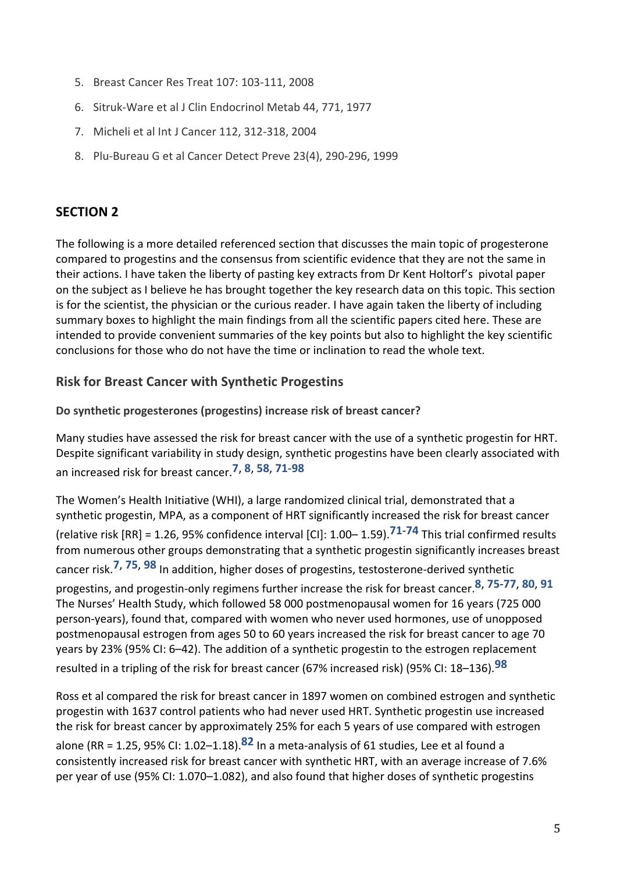- 5. Breast Cancer Res Treat 107: 103-111, 2008
- 6. Sitruk-Ware et al J Clin Endocrinol Metab 44, 771, 1977
- 7. Micheli et al Int J Cancer 112, 312-318, 2004
- 8. Plu-Bureau G et al Cancer Detect Preve 23(4), 290-296, 1999

### **SECTION 2**

The following is a more detailed referenced section that discusses the main topic of progesterone compared to progestins and the consensus from scientific evidence that they are not the same in their actions. I have taken the liberty of pasting key extracts from Dr Kent Holtorf's pivotal paper on the subject as I believe he has brought together the key research data on this topic. This section is for the scientist, the physician or the curious reader. I have again taken the liberty of including summary boxes to highlight the main findings from all the scientific papers cited here. These are intended to provide convenient summaries of the key points but also to highlight the key scientific conclusions for those who do not have the time or inclination to read the whole text.

### **Risk for Breast Cancer with Synthetic Progestins**

Do synthetic progesterones (progestins) increase risk of breast cancer?

Many studies have assessed the risk for breast cancer with the use of a synthetic progestin for HRT. Despite significant variability in study design, synthetic progestins have been clearly associated with an increased risk for breast cancer.**7**, **8**, **58**, **71**-**98**

The Women's Health Initiative (WHI), a large randomized clinical trial, demonstrated that a synthetic progestin, MPA, as a component of HRT significantly increased the risk for breast cancer (relative risk  $[RR] = 1.26$ , 95% confidence interval  $[Cl]$ : 1.00– 1.59).<sup>71-74</sup> This trial confirmed results from numerous other groups demonstrating that a synthetic progestin significantly increases breast cancer risk.<sup>7, 75, 98</sup> In addition, higher doses of progestins, testosterone-derived synthetic progestins, and progestin-only regimens further increase the risk for breast cancer.<sup>8, 75-77, 80, 91</sup> The Nurses' Health Study, which followed 58 000 postmenopausal women for 16 years (725 000 person-years), found that, compared with women who never used hormones, use of unopposed postmenopausal estrogen from ages 50 to 60 years increased the risk for breast cancer to age 70 years by 23% (95% CI: 6-42). The addition of a synthetic progestin to the estrogen replacement resulted in a tripling of the risk for breast cancer (67% increased risk) (95% CI: 18–136).<sup>98</sup>

Ross et al compared the risk for breast cancer in 1897 women on combined estrogen and synthetic progestin with 1637 control patients who had never used HRT. Synthetic progestin use increased the risk for breast cancer by approximately 25% for each 5 years of use compared with estrogen alone (RR = 1.25, 95% CI: 1.02–1.18).<sup>82</sup> In a meta-analysis of 61 studies, Lee et al found a consistently increased risk for breast cancer with synthetic HRT, with an average increase of 7.6% per year of use (95% CI: 1.070–1.082), and also found that higher doses of synthetic progestins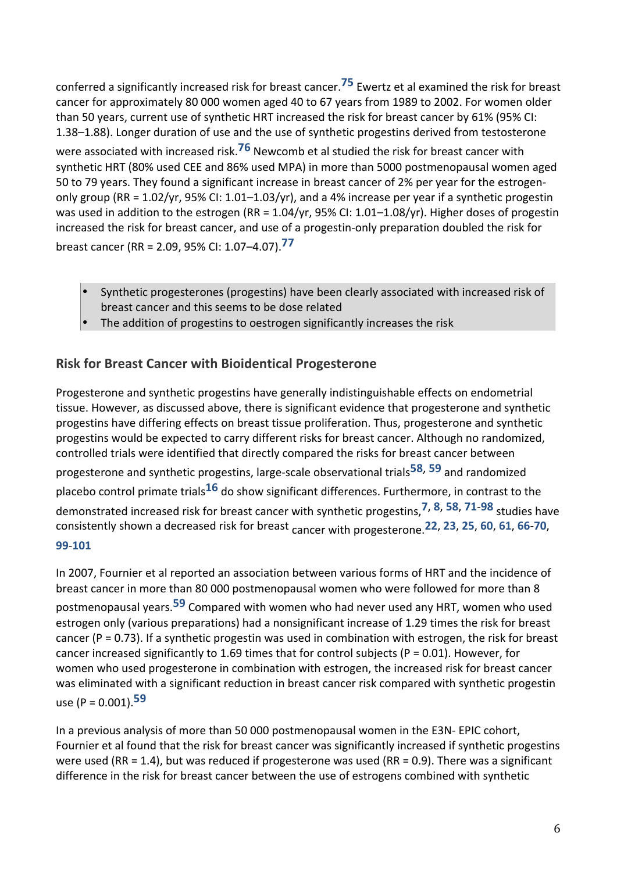conferred a significantly increased risk for breast cancer.<sup>75</sup> Ewertz et al examined the risk for breast cancer for approximately 80 000 women aged 40 to 67 years from 1989 to 2002. For women older than 50 years, current use of synthetic HRT increased the risk for breast cancer by 61% (95% CI: 1.38-1.88). Longer duration of use and the use of synthetic progestins derived from testosterone were associated with increased risk.<sup>76</sup> Newcomb et al studied the risk for breast cancer with synthetic HRT (80% used CEE and 86% used MPA) in more than 5000 postmenopausal women aged 50 to 79 years. They found a significant increase in breast cancer of 2% per year for the estrogenonly group (RR =  $1.02$ /yr, 95% CI:  $1.01-1.03$ /yr), and a 4% increase per year if a synthetic progestin was used in addition to the estrogen (RR =  $1.04$ /yr, 95% CI:  $1.01-1.08$ /yr). Higher doses of progestin increased the risk for breast cancer, and use of a progestin-only preparation doubled the risk for

breast cancer (RR = 2.09, 95% CI: 1.07–4.07).<sup>77</sup>

- Synthetic progesterones (progestins) have been clearly associated with increased risk of breast cancer and this seems to be dose related
- The addition of progestins to oestrogen significantly increases the risk

## **Risk for Breast Cancer with Bioidentical Progesterone**

Progesterone and synthetic progestins have generally indistinguishable effects on endometrial tissue. However, as discussed above, there is significant evidence that progesterone and synthetic progestins have differing effects on breast tissue proliferation. Thus, progesterone and synthetic progestins would be expected to carry different risks for breast cancer. Although no randomized, controlled trials were identified that directly compared the risks for breast cancer between progesterone and synthetic progestins, large-scale observational trials<sup>58, 59</sup> and randomized placebo control primate trials<sup>16</sup> do show significant differences. Furthermore, in contrast to the demonstrated increased risk for breast cancer with synthetic progestins,<sup>7, 8, 58, 71-98</sup> studies have consistently shown a decreased risk for breast cancer with progesterone.**22**, **23**, **25**, **60**, **61**, **66**-**70**, **99**-**101**

In 2007, Fournier et al reported an association between various forms of HRT and the incidence of breast cancer in more than 80 000 postmenopausal women who were followed for more than 8 postmenopausal years.<sup>59</sup> Compared with women who had never used any HRT, women who used estrogen only (various preparations) had a nonsignificant increase of 1.29 times the risk for breast cancer ( $P = 0.73$ ). If a synthetic progestin was used in combination with estrogen, the risk for breast cancer increased significantly to 1.69 times that for control subjects ( $P = 0.01$ ). However, for women who used progesterone in combination with estrogen, the increased risk for breast cancer was eliminated with a significant reduction in breast cancer risk compared with synthetic progestin use  $(P = 0.001)$ .<sup>59</sup>

In a previous analysis of more than 50 000 postmenopausal women in the E3N- EPIC cohort, Fournier et al found that the risk for breast cancer was significantly increased if synthetic progestins were used (RR = 1.4), but was reduced if progesterone was used (RR = 0.9). There was a significant difference in the risk for breast cancer between the use of estrogens combined with synthetic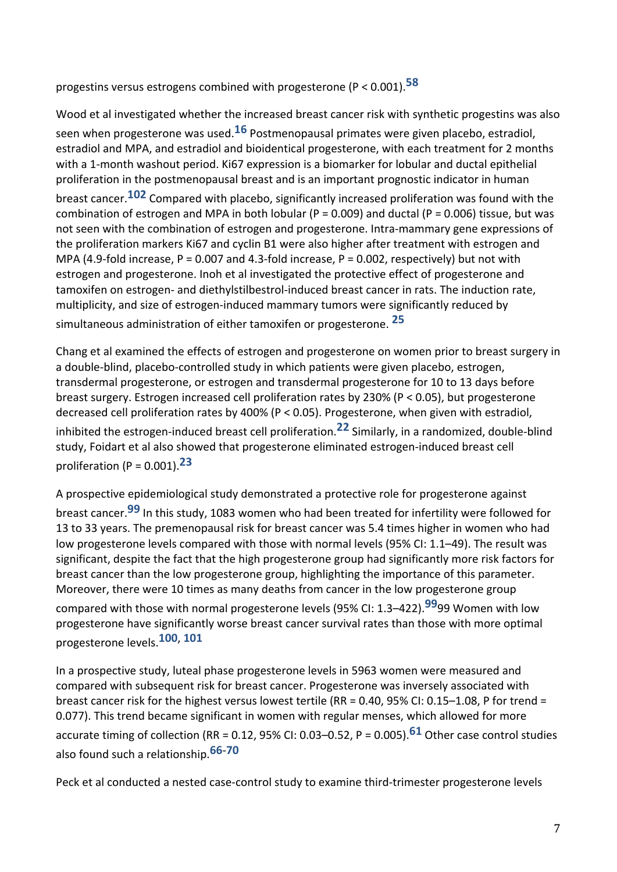progestins versus estrogens combined with progesterone (P < 0.001).**58** 

Wood et al investigated whether the increased breast cancer risk with synthetic progestins was also seen when progesterone was used.<sup>16</sup> Postmenopausal primates were given placebo, estradiol, estradiol and MPA, and estradiol and bioidentical progesterone, with each treatment for 2 months with a 1-month washout period. Ki67 expression is a biomarker for lobular and ductal epithelial proliferation in the postmenopausal breast and is an important prognostic indicator in human breast cancer.<sup>102</sup> Compared with placebo, significantly increased proliferation was found with the combination of estrogen and MPA in both lobular (P = 0.009) and ductal (P = 0.006) tissue, but was not seen with the combination of estrogen and progesterone. Intra-mammary gene expressions of the proliferation markers Ki67 and cyclin B1 were also higher after treatment with estrogen and MPA (4.9-fold increase,  $P = 0.007$  and 4.3-fold increase,  $P = 0.002$ , respectively) but not with estrogen and progesterone. Inoh et al investigated the protective effect of progesterone and tamoxifen on estrogen- and diethylstilbestrol-induced breast cancer in rats. The induction rate, multiplicity, and size of estrogen-induced mammary tumors were significantly reduced by simultaneous administration of either tamoxifen or progesterone. <sup>25</sup>

Chang et al examined the effects of estrogen and progesterone on women prior to breast surgery in a double-blind, placebo-controlled study in which patients were given placebo, estrogen, transdermal progesterone, or estrogen and transdermal progesterone for 10 to 13 days before breast surgery. Estrogen increased cell proliferation rates by 230% (P < 0.05), but progesterone decreased cell proliferation rates by 400% (P < 0.05). Progesterone, when given with estradiol, inhibited the estrogen-induced breast cell proliferation.<sup>22</sup> Similarly, in a randomized, double-blind study, Foidart et al also showed that progesterone eliminated estrogen-induced breast cell proliferation  $(P = 0.001)$ .<sup>23</sup>

A prospective epidemiological study demonstrated a protective role for progesterone against breast cancer.<sup>99</sup> In this study, 1083 women who had been treated for infertility were followed for 13 to 33 years. The premenopausal risk for breast cancer was 5.4 times higher in women who had low progesterone levels compared with those with normal levels (95% CI: 1.1–49). The result was significant, despite the fact that the high progesterone group had significantly more risk factors for breast cancer than the low progesterone group, highlighting the importance of this parameter. Moreover, there were 10 times as many deaths from cancer in the low progesterone group compared with those with normal progesterone levels (95% CI: 1.3–422).<sup>99</sup>99 Women with low

progesterone have significantly worse breast cancer survival rates than those with more optimal progesterone levels.<sup>100, 101</sup>

In a prospective study, luteal phase progesterone levels in 5963 women were measured and compared with subsequent risk for breast cancer. Progesterone was inversely associated with breast cancer risk for the highest versus lowest tertile  $(RR = 0.40, 95\%$  CI:  $0.15-1.08$ , P for trend = 0.077). This trend became significant in women with regular menses, which allowed for more accurate timing of collection (RR = 0.12, 95% CI: 0.03–0.52, P = 0.005).<sup>61</sup> Other case control studies also found such a relationship.**66**-**70** 

Peck et al conducted a nested case-control study to examine third-trimester progesterone levels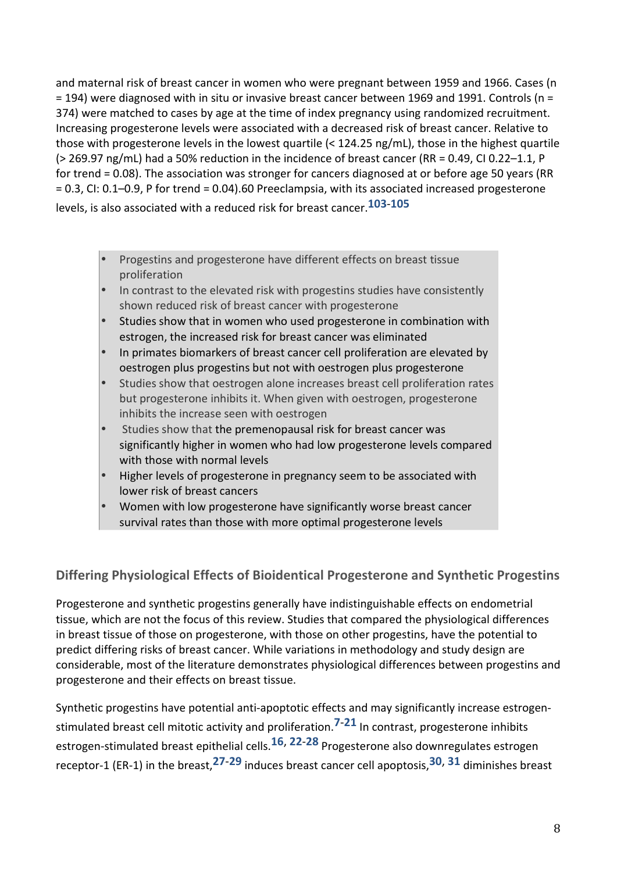and maternal risk of breast cancer in women who were pregnant between 1959 and 1966. Cases (n  $=$  194) were diagnosed with in situ or invasive breast cancer between 1969 and 1991. Controls (n = 374) were matched to cases by age at the time of index pregnancy using randomized recruitment. Increasing progesterone levels were associated with a decreased risk of breast cancer. Relative to those with progesterone levels in the lowest quartile  $\langle$  124.25 ng/mL), those in the highest quartile ( $>$  269.97 ng/mL) had a 50% reduction in the incidence of breast cancer (RR = 0.49, CI 0.22–1.1, P for trend = 0.08). The association was stronger for cancers diagnosed at or before age 50 years (RR = 0.3, CI: 0.1–0.9, P for trend = 0.04).60 Preeclampsia, with its associated increased progesterone levels, is also associated with a reduced risk for breast cancer.<sup>103-105</sup>

- Progestins and progesterone have different effects on breast tissue proliferation
- In contrast to the elevated risk with progestins studies have consistently shown reduced risk of breast cancer with progesterone
- Studies show that in women who used progesterone in combination with estrogen, the increased risk for breast cancer was eliminated
- In primates biomarkers of breast cancer cell proliferation are elevated by oestrogen plus progestins but not with oestrogen plus progesterone
- Studies show that oestrogen alone increases breast cell proliferation rates but progesterone inhibits it. When given with oestrogen, progesterone inhibits the increase seen with oestrogen
- Studies show that the premenopausal risk for breast cancer was significantly higher in women who had low progesterone levels compared with those with normal levels
- Higher levels of progesterone in pregnancy seem to be associated with lower risk of breast cancers
- Women with low progesterone have significantly worse breast cancer survival rates than those with more optimal progesterone levels

## **Differing Physiological Effects of Bioidentical Progesterone and Synthetic Progestins**

Progesterone and synthetic progestins generally have indistinguishable effects on endometrial tissue, which are not the focus of this review. Studies that compared the physiological differences in breast tissue of those on progesterone, with those on other progestins, have the potential to predict differing risks of breast cancer. While variations in methodology and study design are considerable, most of the literature demonstrates physiological differences between progestins and progesterone and their effects on breast tissue.

Synthetic progestins have potential anti-apoptotic effects and may significantly increase estrogenstimulated breast cell mitotic activity and proliferation.<sup>7-21</sup> In contrast, progesterone inhibits estrogen-stimulated breast epithelial cells.<sup>16, 22-28</sup> Progesterone also downregulates estrogen receptor-1 (ER-1) in the breast,  $27-29$  induces breast cancer cell apoptosis,  $30$ ,  $31$  diminishes breast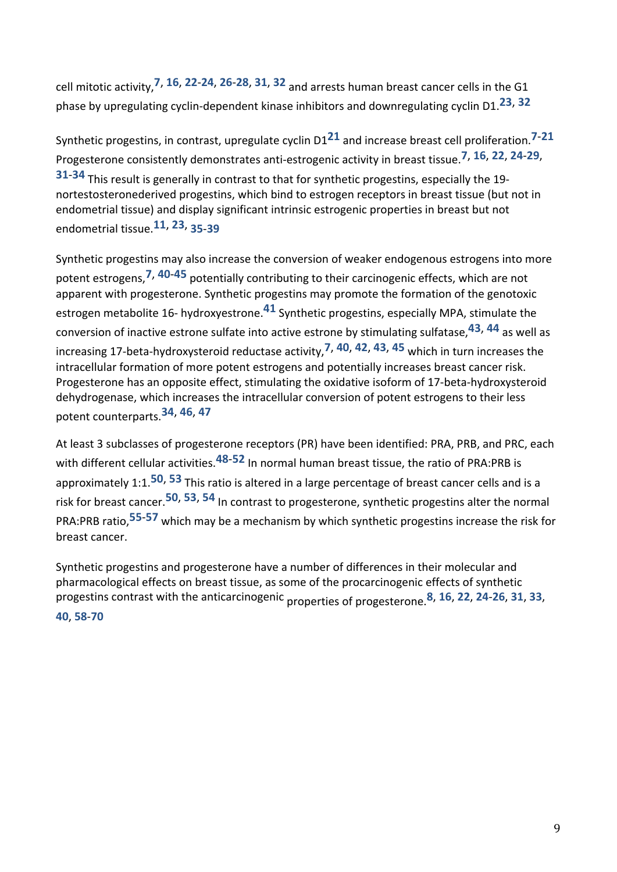cell mitotic activity,**7**, **16**, **22**-**24**, **26**-**28**, **31**, **32** and arrests human breast cancer cells in the G1 phase by upregulating cyclin-dependent kinase inhibitors and downregulating cyclin D1.<sup>23, 32</sup>

Synthetic progestins, in contrast, upregulate cyclin D1<sup>21</sup> and increase breast cell proliferation.<sup>7-21</sup> Progesterone consistently demonstrates anti-estrogenic activity in breast tissue.**7**, **16**, **22**, **24**-**29**, **31-34** This result is generally in contrast to that for synthetic progestins, especially the 19nortestosteronederived progestins, which bind to estrogen receptors in breast tissue (but not in endometrial tissue) and display significant intrinsic estrogenic properties in breast but not endometrial tissue.**11**, **23**, **35**-**39** 

Synthetic progestins may also increase the conversion of weaker endogenous estrogens into more potent estrogens,<sup>7, 40-45</sup> potentially contributing to their carcinogenic effects, which are not apparent with progesterone. Synthetic progestins may promote the formation of the genotoxic estrogen metabolite 16- hydroxyestrone.<sup>41</sup> Synthetic progestins, especially MPA, stimulate the conversion of inactive estrone sulfate into active estrone by stimulating sulfatase,<sup>43, 44</sup> as well as increasing 17-beta-hydroxysteroid reductase activity,<sup>7, 40, 42, 43, 45 which in turn increases the</sup> intracellular formation of more potent estrogens and potentially increases breast cancer risk. Progesterone has an opposite effect, stimulating the oxidative isoform of 17-beta-hydroxysteroid dehydrogenase, which increases the intracellular conversion of potent estrogens to their less potent counterparts.**34**, **46**, **47** 

At least 3 subclasses of progesterone receptors (PR) have been identified: PRA, PRB, and PRC, each with different cellular activities.<sup>48-52</sup> In normal human breast tissue, the ratio of PRA:PRB is approximately 1:1.<sup>50, 53</sup> This ratio is altered in a large percentage of breast cancer cells and is a risk for breast cancer.<sup>50</sup>, <sup>53</sup>, <sup>54</sup> In contrast to progesterone, synthetic progestins alter the normal PRA:PRB ratio,<sup>55-57</sup> which may be a mechanism by which synthetic progestins increase the risk for breast cancer.

Synthetic progestins and progesterone have a number of differences in their molecular and pharmacological effects on breast tissue, as some of the procarcinogenic effects of synthetic progestins contrast with the anticarcinogenic properties of progesterone.<sup>8</sup>, 16, 22, 24-26, 31, 33, **40**, **58**-**70**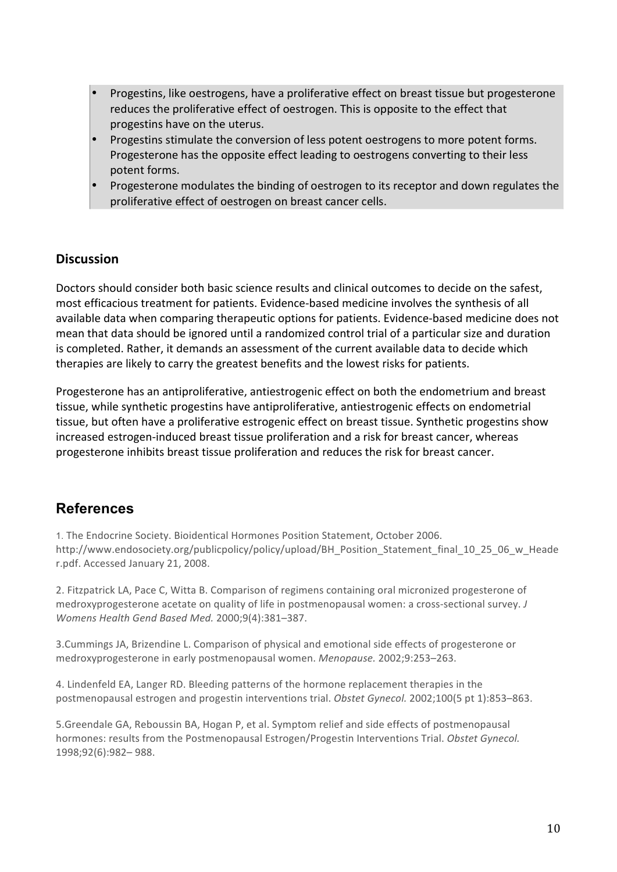- Progestins, like oestrogens, have a proliferative effect on breast tissue but progesterone reduces the proliferative effect of oestrogen. This is opposite to the effect that progestins have on the uterus.
- Progestins stimulate the conversion of less potent oestrogens to more potent forms. Progesterone has the opposite effect leading to oestrogens converting to their less potent forms.
- Progesterone modulates the binding of oestrogen to its receptor and down regulates the proliferative effect of oestrogen on breast cancer cells.

### **Discussion**

Doctors should consider both basic science results and clinical outcomes to decide on the safest, most efficacious treatment for patients. Evidence-based medicine involves the synthesis of all available data when comparing therapeutic options for patients. Evidence-based medicine does not mean that data should be ignored until a randomized control trial of a particular size and duration is completed. Rather, it demands an assessment of the current available data to decide which therapies are likely to carry the greatest benefits and the lowest risks for patients.

Progesterone has an antiproliferative, antiestrogenic effect on both the endometrium and breast tissue, while synthetic progestins have antiproliferative, antiestrogenic effects on endometrial tissue, but often have a proliferative estrogenic effect on breast tissue. Synthetic progestins show increased estrogen-induced breast tissue proliferation and a risk for breast cancer, whereas progesterone inhibits breast tissue proliferation and reduces the risk for breast cancer.

## **References**

1. The Endocrine Society. Bioidentical Hormones Position Statement, October 2006. http://www.endosociety.org/publicpolicy/policy/upload/BH\_Position\_Statement\_final\_10\_25\_06\_w\_Heade r.pdf. Accessed January 21, 2008.

2. Fitzpatrick LA, Pace C, Witta B. Comparison of regimens containing oral micronized progesterone of medroxyprogesterone acetate on quality of life in postmenopausal women: a cross-sectional survey. *J Womens Health Gend Based Med.* 2000;9(4):381–387. 

3. Cummings JA, Brizendine L. Comparison of physical and emotional side effects of progesterone or medroxyprogesterone in early postmenopausal women. *Menopause.* 2002;9:253-263.

4. Lindenfeld EA, Langer RD. Bleeding patterns of the hormone replacement therapies in the postmenopausal estrogen and progestin interventions trial. Obstet Gynecol. 2002;100(5 pt 1):853-863.

5.Greendale GA, Reboussin BA, Hogan P, et al. Symptom relief and side effects of postmenopausal hormones: results from the Postmenopausal Estrogen/Progestin Interventions Trial. Obstet Gynecol. 1998;92(6):982– 988.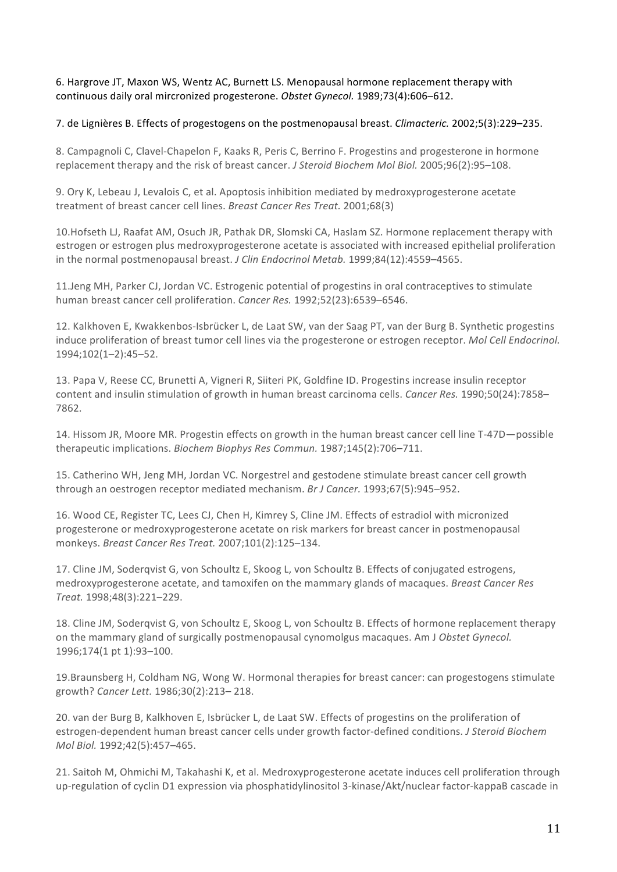6. Hargrove JT, Maxon WS, Wentz AC, Burnett LS. Menopausal hormone replacement therapy with continuous daily oral mircronized progesterone. Obstet Gynecol. 1989;73(4):606-612.

7. de Lignières B. Effects of progestogens on the postmenopausal breast. *Climacteric.* 2002;5(3):229–235.

8. Campagnoli C, Clavel-Chapelon F, Kaaks R, Peris C, Berrino F. Progestins and progesterone in hormone replacement therapy and the risk of breast cancer. *J Steroid Biochem Mol Biol.* 2005;96(2):95–108.

9. Ory K, Lebeau J, Levalois C, et al. Apoptosis inhibition mediated by medroxyprogesterone acetate treatment of breast cancer cell lines. *Breast Cancer Res Treat.* 2001;68(3)

10.Hofseth LJ, Raafat AM, Osuch JR, Pathak DR, Slomski CA, Haslam SZ. Hormone replacement therapy with estrogen or estrogen plus medroxyprogesterone acetate is associated with increased epithelial proliferation in the normal postmenopausal breast. *J Clin Endocrinol Metab.* 1999;84(12):4559-4565.

11.Jeng MH, Parker CJ, Jordan VC. Estrogenic potential of progestins in oral contraceptives to stimulate human breast cancer cell proliferation. *Cancer Res.* 1992;52(23):6539-6546.

12. Kalkhoven E, Kwakkenbos-Isbrücker L, de Laat SW, van der Saag PT, van der Burg B. Synthetic progestins induce proliferation of breast tumor cell lines via the progesterone or estrogen receptor. *Mol Cell Endocrinol.* 1994;102(1–2):45–52. 

13. Papa V, Reese CC, Brunetti A, Vigneri R, Siiteri PK, Goldfine ID. Progestins increase insulin receptor content and insulin stimulation of growth in human breast carcinoma cells. *Cancer Res.* 1990;50(24):7858– 7862.

14. Hissom JR, Moore MR. Progestin effects on growth in the human breast cancer cell line T-47D—possible therapeutic implications. *Biochem Biophys Res Commun.* 1987;145(2):706–711.

15. Catherino WH, Jeng MH, Jordan VC. Norgestrel and gestodene stimulate breast cancer cell growth through an oestrogen receptor mediated mechanism. *Br J Cancer.* 1993;67(5):945–952.

16. Wood CE, Register TC, Lees CJ, Chen H, Kimrey S, Cline JM. Effects of estradiol with micronized progesterone or medroxyprogesterone acetate on risk markers for breast cancer in postmenopausal monkeys. *Breast Cancer Res Treat.* 2007;101(2):125–134. 

17. Cline JM, Soderqvist G, von Schoultz E, Skoog L, von Schoultz B. Effects of conjugated estrogens, medroxyprogesterone acetate, and tamoxifen on the mammary glands of macaques. *Breast Cancer Res Treat.* 1998;48(3):221–229. 

18. Cline JM, Soderqvist G, von Schoultz E, Skoog L, von Schoultz B. Effects of hormone replacement therapy on the mammary gland of surgically postmenopausal cynomolgus macaques. Am J Obstet Gynecol. 1996;174(1 pt 1):93-100.

19.Braunsberg H, Coldham NG, Wong W. Hormonal therapies for breast cancer: can progestogens stimulate growth? *Cancer Lett.* 1986;30(2):213– 218. 

20. van der Burg B, Kalkhoven E, Isbrücker L, de Laat SW. Effects of progestins on the proliferation of estrogen-dependent human breast cancer cells under growth factor-defined conditions. *J Steroid Biochem Mol Biol.* 1992;42(5):457–465. 

21. Saitoh M, Ohmichi M, Takahashi K, et al. Medroxyprogesterone acetate induces cell proliferation through up-regulation of cyclin D1 expression via phosphatidylinositol 3-kinase/Akt/nuclear factor-kappaB cascade in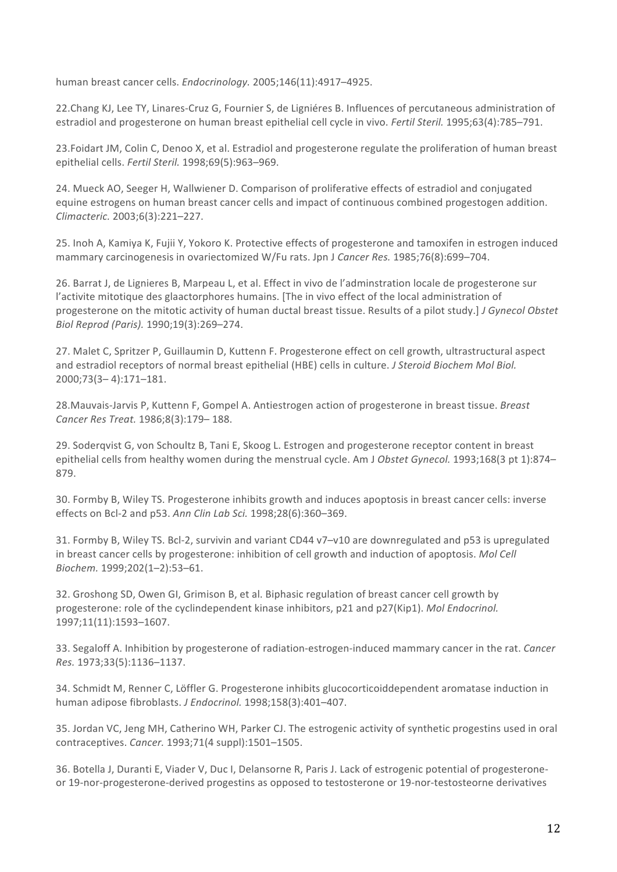human breast cancer cells. *Endocrinology.* 2005;146(11):4917-4925.

22.Chang KJ, Lee TY, Linares-Cruz G, Fournier S, de Ligniéres B. Influences of percutaneous administration of estradiol and progesterone on human breast epithelial cell cycle in vivo. *Fertil Steril.* 1995;63(4):785–791.

23.Foidart JM, Colin C, Denoo X, et al. Estradiol and progesterone regulate the proliferation of human breast epithelial cells. *Fertil Steril.* 1998;69(5):963–969. 

24. Mueck AO, Seeger H, Wallwiener D. Comparison of proliferative effects of estradiol and conjugated equine estrogens on human breast cancer cells and impact of continuous combined progestogen addition. *Climacteric.* 2003;6(3):221–227.

25. Inoh A, Kamiya K, Fujii Y, Yokoro K. Protective effects of progesterone and tamoxifen in estrogen induced mammary carcinogenesis in ovariectomized W/Fu rats. Jpn J Cancer Res. 1985;76(8):699–704.

26. Barrat J, de Lignieres B, Marpeau L, et al. Effect in vivo de l'adminstration locale de progesterone sur l'activite mitotique des glaactorphores humains. [The in vivo effect of the local administration of progesterone on the mitotic activity of human ductal breast tissue. Results of a pilot study.] *J Gynecol Obstet Biol Reprod (Paris).* 1990;19(3):269–274. 

27. Malet C, Spritzer P, Guillaumin D, Kuttenn F. Progesterone effect on cell growth, ultrastructural aspect and estradiol receptors of normal breast epithelial (HBE) cells in culture. *J Steroid Biochem Mol Biol.* 2000;73(3– 4):171–181.

28. Mauvais-Jarvis P, Kuttenn F, Gompel A. Antiestrogen action of progesterone in breast tissue. *Breast Cancer Res Treat.* 1986;8(3):179– 188. 

29. Soderqvist G, von Schoultz B, Tani E, Skoog L. Estrogen and progesterone receptor content in breast epithelial cells from healthy women during the menstrual cycle. Am J Obstet Gynecol. 1993;168(3 pt 1):874– 879. 

30. Formby B, Wiley TS. Progesterone inhibits growth and induces apoptosis in breast cancer cells: inverse effects on Bcl-2 and p53. Ann Clin Lab Sci. 1998;28(6):360-369.

31. Formby B, Wiley TS. Bcl-2, survivin and variant CD44 v7-v10 are downregulated and p53 is upregulated in breast cancer cells by progesterone: inhibition of cell growth and induction of apoptosis. Mol Cell *Biochem.* 1999;202(1–2):53–61. 

32. Groshong SD, Owen GI, Grimison B, et al. Biphasic regulation of breast cancer cell growth by progesterone: role of the cyclindependent kinase inhibitors, p21 and p27(Kip1). *Mol Endocrinol.* 1997;11(11):1593–1607. 

33. Segaloff A. Inhibition by progesterone of radiation-estrogen-induced mammary cancer in the rat. *Cancer Res.* 1973;33(5):1136–1137. 

34. Schmidt M, Renner C, Löffler G. Progesterone inhibits glucocorticoiddependent aromatase induction in human adipose fibroblasts. *J Endocrinol.* 1998;158(3):401-407.

35. Jordan VC, Jeng MH, Catherino WH, Parker CJ. The estrogenic activity of synthetic progestins used in oral contraceptives. *Cancer.* 1993;71(4 suppl):1501–1505. 

36. Botella J, Duranti E, Viader V, Duc I, Delansorne R, Paris J. Lack of estrogenic potential of progesteroneor 19-nor-progesterone-derived progestins as opposed to testosterone or 19-nor-testosteorne derivatives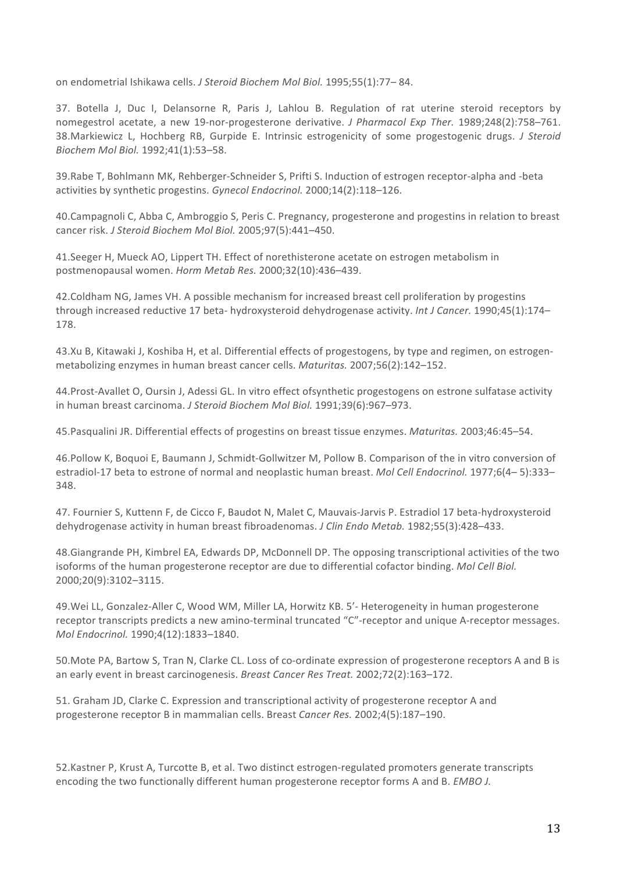on endometrial Ishikawa cells. *J Steroid Biochem Mol Biol.* 1995;55(1):77-84.

37. Botella J, Duc I, Delansorne R, Paris J, Lahlou B. Regulation of rat uterine steroid receptors by nomegestrol acetate, a new 19-nor-progesterone derivative. *J Pharmacol Exp Ther.* 1989;248(2):758–761. 38.Markiewicz L, Hochberg RB, Gurpide E. Intrinsic estrogenicity of some progestogenic drugs. *J Steroid Biochem Mol Biol.* 1992;41(1):53–58. 

39.Rabe T, Bohlmann MK, Rehberger-Schneider S, Prifti S. Induction of estrogen receptor-alpha and -beta activities by synthetic progestins. Gynecol Endocrinol. 2000;14(2):118–126.

40.Campagnoli C, Abba C, Ambroggio S, Peris C. Pregnancy, progesterone and progestins in relation to breast cancer risk. *J Steroid Biochem Mol Biol.* 2005;97(5):441-450.

41. Seeger H, Mueck AO, Lippert TH. Effect of norethisterone acetate on estrogen metabolism in postmenopausal women. *Horm Metab Res.* 2000;32(10):436–439. 

42.Coldham NG, James VH. A possible mechanism for increased breast cell proliferation by progestins through increased reductive 17 beta- hydroxysteroid dehydrogenase activity. *Int J Cancer.* 1990;45(1):174– 178. 

43.Xu B, Kitawaki J, Koshiba H, et al. Differential effects of progestogens, by type and regimen, on estrogenmetabolizing enzymes in human breast cancer cells. *Maturitas.* 2007;56(2):142-152.

44. Prost-Avallet O, Oursin J, Adessi GL. In vitro effect ofsynthetic progestogens on estrone sulfatase activity in human breast carcinoma. *J Steroid Biochem Mol Biol.* 1991;39(6):967–973.

45. Pasqualini JR. Differential effects of progestins on breast tissue enzymes. *Maturitas.* 2003;46:45–54.

46.Pollow K, Boquoi E, Baumann J, Schmidt-Gollwitzer M, Pollow B. Comparison of the in vitro conversion of estradiol-17 beta to estrone of normal and neoplastic human breast. *Mol Cell Endocrinol.* 1977;6(4–5):333– 348. 

47. Fournier S, Kuttenn F, de Cicco F, Baudot N, Malet C, Mauvais-Jarvis P. Estradiol 17 beta-hydroxysteroid dehydrogenase activity in human breast fibroadenomas. *J Clin Endo Metab.* 1982;55(3):428–433.

48.Giangrande PH, Kimbrel EA, Edwards DP, McDonnell DP. The opposing transcriptional activities of the two isoforms of the human progesterone receptor are due to differential cofactor binding. *Mol Cell Biol.* 2000;20(9):3102–3115. 

49. Wei LL, Gonzalez-Aller C, Wood WM, Miller LA, Horwitz KB. 5'- Heterogeneity in human progesterone receptor transcripts predicts a new amino-terminal truncated "C"-receptor and unique A-receptor messages. *Mol Endocrinol.* 1990;4(12):1833–1840. 

50. Mote PA, Bartow S, Tran N, Clarke CL. Loss of co-ordinate expression of progesterone receptors A and B is an early event in breast carcinogenesis. *Breast Cancer Res Treat.* 2002;72(2):163-172.

51. Graham JD, Clarke C. Expression and transcriptional activity of progesterone receptor A and progesterone receptor B in mammalian cells. Breast *Cancer Res.* 2002;4(5):187-190.

52.Kastner P, Krust A, Turcotte B, et al. Two distinct estrogen-regulated promoters generate transcripts encoding the two functionally different human progesterone receptor forms A and B. *EMBO J.*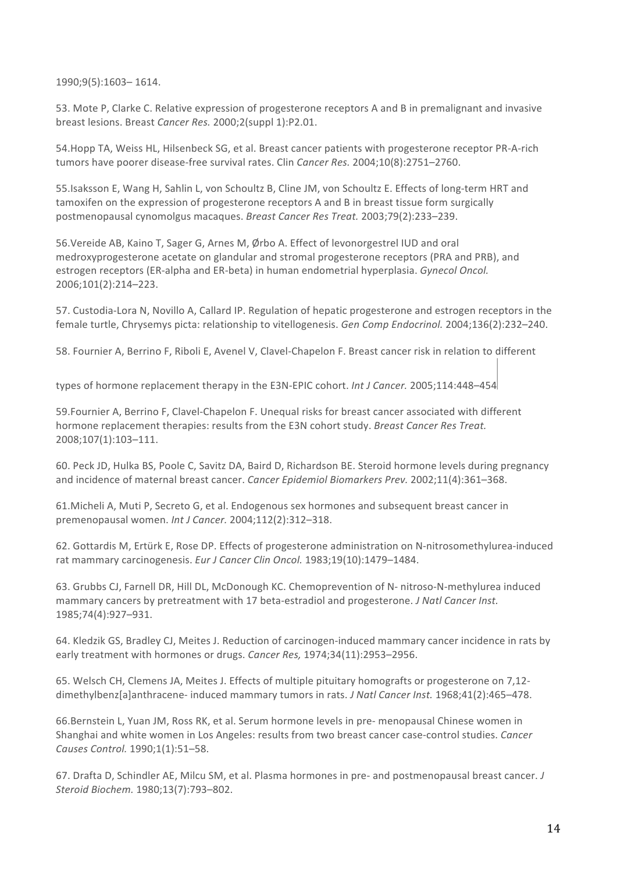1990;9(5):1603– 1614. 

53. Mote P, Clarke C. Relative expression of progesterone receptors A and B in premalignant and invasive breast lesions. Breast *Cancer Res.* 2000:2(suppl 1):P2.01.

54. Hopp TA, Weiss HL, Hilsenbeck SG, et al. Breast cancer patients with progesterone receptor PR-A-rich tumors have poorer disease-free survival rates. Clin *Cancer Res.* 2004;10(8):2751–2760.

55.Isaksson E, Wang H, Sahlin L, von Schoultz B, Cline JM, von Schoultz E. Effects of long-term HRT and tamoxifen on the expression of progesterone receptors A and B in breast tissue form surgically postmenopausal cynomolgus macaques. *Breast Cancer Res Treat.* 2003;79(2):233–239.

56.Vereide AB, Kaino T, Sager G, Arnes M, Ørbo A. Effect of levonorgestrel IUD and oral medroxyprogesterone acetate on glandular and stromal progesterone receptors (PRA and PRB), and estrogen receptors (ER-alpha and ER-beta) in human endometrial hyperplasia. *Gynecol Oncol.* 2006;101(2):214–223. 

57. Custodia-Lora N, Novillo A, Callard IP. Regulation of hepatic progesterone and estrogen receptors in the female turtle, Chrysemys picta: relationship to vitellogenesis. Gen Comp Endocrinol. 2004;136(2):232–240.

58. Fournier A, Berrino F, Riboli E, Avenel V, Clavel-Chapelon F. Breast cancer risk in relation to different

types of hormone replacement therapy in the E3N-EPIC cohort. *Int J Cancer.* 2005;114:448–454

59.Fournier A, Berrino F, Clavel-Chapelon F. Unequal risks for breast cancer associated with different hormone replacement therapies: results from the E3N cohort study. *Breast Cancer Res Treat.* 2008;107(1):103–111. 

60. Peck JD, Hulka BS, Poole C, Savitz DA, Baird D, Richardson BE. Steroid hormone levels during pregnancy and incidence of maternal breast cancer. *Cancer Epidemiol Biomarkers Prev.* 2002;11(4):361–368.

61. Micheli A, Muti P, Secreto G, et al. Endogenous sex hormones and subsequent breast cancer in premenopausal women. *Int J Cancer.* 2004;112(2):312–318. 

62. Gottardis M, Ertürk E, Rose DP. Effects of progesterone administration on N-nitrosomethylurea-induced rat mammary carcinogenesis. *Eur J Cancer Clin Oncol.* 1983;19(10):1479-1484.

63. Grubbs CJ, Farnell DR, Hill DL, McDonough KC. Chemoprevention of N- nitroso-N-methylurea induced mammary cancers by pretreatment with 17 beta-estradiol and progesterone. *J Natl Cancer Inst.* 1985;74(4):927–931. 

64. Kledzik GS, Bradley CJ, Meites J. Reduction of carcinogen-induced mammary cancer incidence in rats by early treatment with hormones or drugs. *Cancer Res,* 1974;34(11):2953-2956.

65. Welsch CH, Clemens JA, Meites J. Effects of multiple pituitary homografts or progesterone on 7,12dimethylbenz[a]anthracene- induced mammary tumors in rats. *J Natl Cancer Inst.* 1968;41(2):465-478.

66.Bernstein L, Yuan JM, Ross RK, et al. Serum hormone levels in pre- menopausal Chinese women in Shanghai and white women in Los Angeles: results from two breast cancer case-control studies. *Cancer Causes Control.* 1990;1(1):51–58. 

67. Drafta D, Schindler AE, Milcu SM, et al. Plasma hormones in pre- and postmenopausal breast cancer. *J Steroid Biochem.* 1980;13(7):793–802.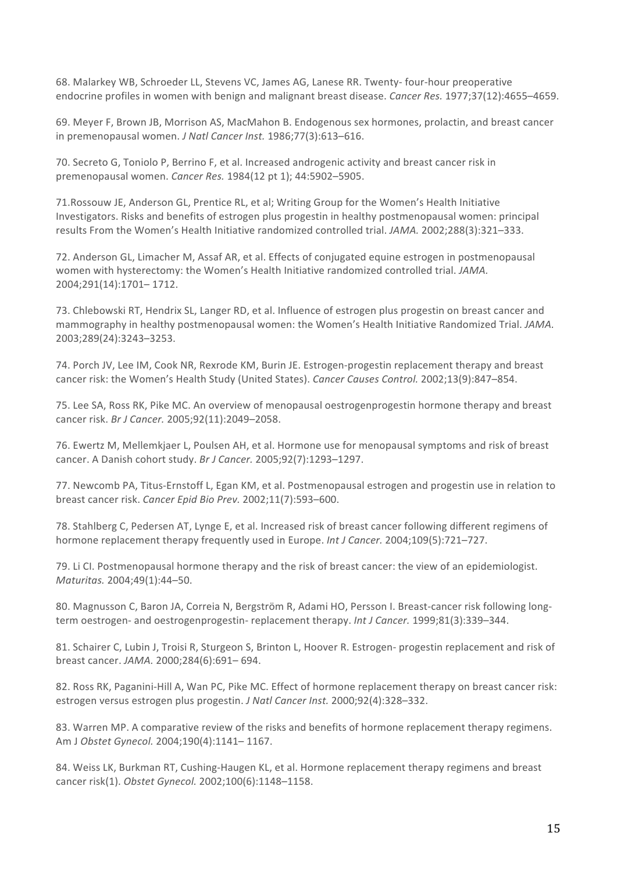68. Malarkey WB, Schroeder LL, Stevens VC, James AG, Lanese RR. Twenty- four-hour preoperative endocrine profiles in women with benign and malignant breast disease. *Cancer Res.* 1977;37(12):4655–4659.

69. Meyer F, Brown JB, Morrison AS, MacMahon B. Endogenous sex hormones, prolactin, and breast cancer in premenopausal women. *J Natl Cancer Inst.* 1986;77(3):613-616.

70. Secreto G, Toniolo P, Berrino F, et al. Increased androgenic activity and breast cancer risk in premenopausal women. *Cancer Res.* 1984(12 pt 1); 44:5902-5905.

71. Rossouw JE, Anderson GL, Prentice RL, et al; Writing Group for the Women's Health Initiative Investigators. Risks and benefits of estrogen plus progestin in healthy postmenopausal women: principal results From the Women's Health Initiative randomized controlled trial. *JAMA.* 2002;288(3):321-333.

72. Anderson GL, Limacher M, Assaf AR, et al. Effects of conjugated equine estrogen in postmenopausal women with hysterectomy: the Women's Health Initiative randomized controlled trial. JAMA. 2004;291(14):1701– 1712. 

73. Chlebowski RT, Hendrix SL, Langer RD, et al. Influence of estrogen plus progestin on breast cancer and mammography in healthy postmenopausal women: the Women's Health Initiative Randomized Trial. JAMA. 2003;289(24):3243–3253. 

74. Porch JV, Lee IM, Cook NR, Rexrode KM, Burin JE. Estrogen-progestin replacement therapy and breast cancer risk: the Women's Health Study (United States). *Cancer Causes Control.* 2002;13(9):847-854.

75. Lee SA, Ross RK, Pike MC. An overview of menopausal oestrogenprogestin hormone therapy and breast cancer risk. *Br J Cancer.* 2005;92(11):2049-2058.

76. Ewertz M, Mellemkjaer L, Poulsen AH, et al. Hormone use for menopausal symptoms and risk of breast cancer. A Danish cohort study. *Br J Cancer.* 2005;92(7):1293–1297. 

77. Newcomb PA, Titus-Ernstoff L, Egan KM, et al. Postmenopausal estrogen and progestin use in relation to breast cancer risk. *Cancer Epid Bio Prev.* 2002;11(7):593–600. 

78. Stahlberg C, Pedersen AT, Lynge E, et al. Increased risk of breast cancer following different regimens of hormone replacement therapy frequently used in Europe. *Int J Cancer*. 2004;109(5):721–727.

79. Li CI. Postmenopausal hormone therapy and the risk of breast cancer: the view of an epidemiologist. *Maturitas.* 2004;49(1):44–50. 

80. Magnusson C, Baron JA, Correia N, Bergström R, Adami HO, Persson I. Breast-cancer risk following longterm oestrogen- and oestrogenprogestin- replacement therapy. *Int J Cancer.* 1999;81(3):339–344.

81. Schairer C, Lubin J, Troisi R, Sturgeon S, Brinton L, Hoover R. Estrogen- progestin replacement and risk of breast cancer. *JAMA.* 2000;284(6):691-694.

82. Ross RK, Paganini-Hill A, Wan PC, Pike MC. Effect of hormone replacement therapy on breast cancer risk: estrogen versus estrogen plus progestin. *J Natl Cancer Inst.* 2000;92(4):328–332.

83. Warren MP. A comparative review of the risks and benefits of hormone replacement therapy regimens. Am J Obstet Gynecol. 2004;190(4):1141-1167.

84. Weiss LK, Burkman RT, Cushing-Haugen KL, et al. Hormone replacement therapy regimens and breast cancer risk(1). Obstet Gynecol. 2002;100(6):1148-1158.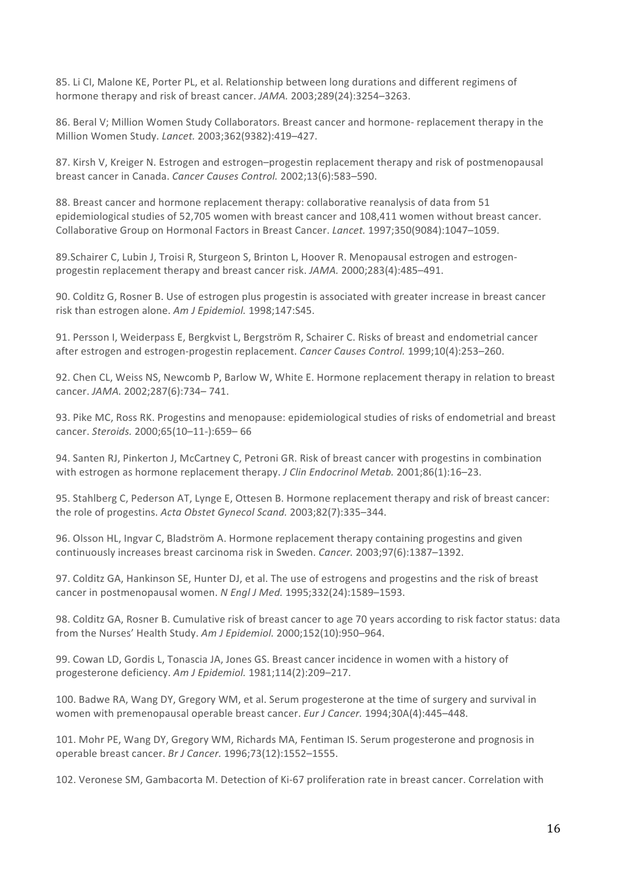85. Li CI, Malone KE, Porter PL, et al. Relationship between long durations and different regimens of hormone therapy and risk of breast cancer. JAMA. 2003;289(24):3254-3263.

86. Beral V; Million Women Study Collaborators. Breast cancer and hormone- replacement therapy in the Million Women Study. *Lancet.* 2003;362(9382):419–427. 

87. Kirsh V, Kreiger N. Estrogen and estrogen–progestin replacement therapy and risk of postmenopausal breast cancer in Canada. *Cancer Causes Control.* 2002;13(6):583-590.

88. Breast cancer and hormone replacement therapy: collaborative reanalysis of data from 51 epidemiological studies of 52,705 women with breast cancer and 108,411 women without breast cancer. Collaborative Group on Hormonal Factors in Breast Cancer. *Lancet.* 1997;350(9084):1047-1059.

89.Schairer C, Lubin J, Troisi R, Sturgeon S, Brinton L, Hoover R. Menopausal estrogen and estrogenprogestin replacement therapy and breast cancer risk. *JAMA*. 2000;283(4):485–491.

90. Colditz G, Rosner B. Use of estrogen plus progestin is associated with greater increase in breast cancer risk than estrogen alone. Am J Epidemiol. 1998;147:S45.

91. Persson I, Weiderpass E, Bergkvist L, Bergström R, Schairer C. Risks of breast and endometrial cancer after estrogen and estrogen-progestin replacement. *Cancer Causes Control.* 1999;10(4):253–260.

92. Chen CL, Weiss NS, Newcomb P, Barlow W, White E. Hormone replacement therapy in relation to breast cancer. *JAMA.* 2002;287(6):734– 741. 

93. Pike MC, Ross RK. Progestins and menopause: epidemiological studies of risks of endometrial and breast cancer. *Steroids.* 2000;65(10–11-):659– 66

94. Santen RJ, Pinkerton J, McCartney C, Petroni GR. Risk of breast cancer with progestins in combination with estrogen as hormone replacement therapy. *J Clin Endocrinol Metab.* 2001;86(1):16–23.

95. Stahlberg C, Pederson AT, Lynge E, Ottesen B. Hormone replacement therapy and risk of breast cancer: the role of progestins. *Acta Obstet Gynecol Scand.* 2003;82(7):335-344.

96. Olsson HL, Ingvar C, Bladström A. Hormone replacement therapy containing progestins and given continuously increases breast carcinoma risk in Sweden. *Cancer.* 2003;97(6):1387–1392.

97. Colditz GA, Hankinson SE, Hunter DJ, et al. The use of estrogens and progestins and the risk of breast cancer in postmenopausal women. *N Engl J Med.* 1995;332(24):1589–1593.

98. Colditz GA, Rosner B. Cumulative risk of breast cancer to age 70 years according to risk factor status: data from the Nurses' Health Study. Am J Epidemiol. 2000;152(10):950-964.

99. Cowan LD, Gordis L, Tonascia JA, Jones GS. Breast cancer incidence in women with a history of progesterone deficiency. Am J Epidemiol. 1981;114(2):209-217.

100. Badwe RA, Wang DY, Gregory WM, et al. Serum progesterone at the time of surgery and survival in women with premenopausal operable breast cancer. *Eur J Cancer*. 1994;30A(4):445–448.

101. Mohr PE, Wang DY, Gregory WM, Richards MA, Fentiman IS. Serum progesterone and prognosis in operable breast cancer. *Br J Cancer*. 1996;73(12):1552-1555.

102. Veronese SM, Gambacorta M. Detection of Ki-67 proliferation rate in breast cancer. Correlation with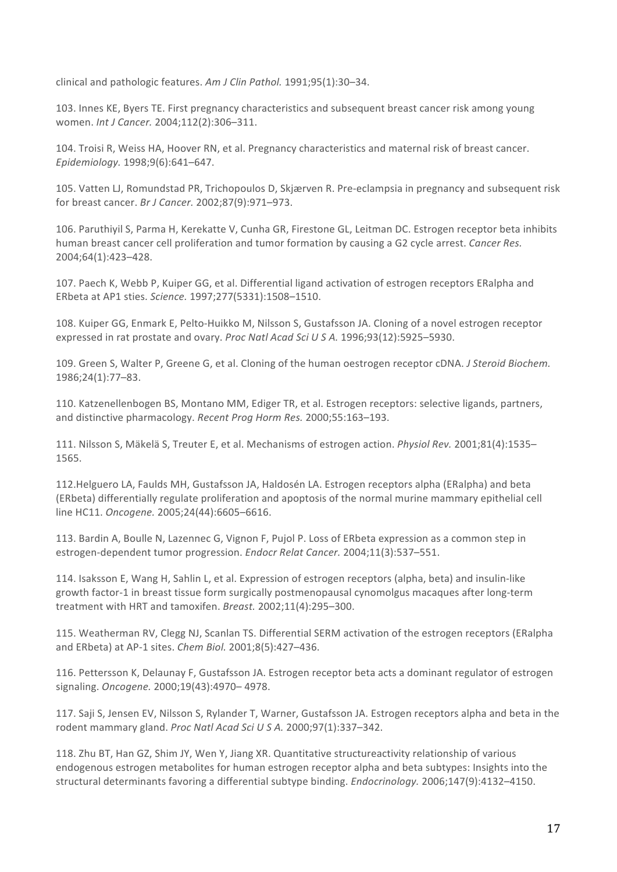clinical and pathologic features. Am J Clin Pathol. 1991;95(1):30-34.

103. Innes KE, Byers TE. First pregnancy characteristics and subsequent breast cancer risk among young women. *Int J Cancer.* 2004;112(2):306-311.

104. Troisi R, Weiss HA, Hoover RN, et al. Pregnancy characteristics and maternal risk of breast cancer. *Epidemiology.* 1998;9(6):641–647.

105. Vatten LJ, Romundstad PR, Trichopoulos D, Skjærven R. Pre-eclampsia in pregnancy and subsequent risk for breast cancer. *Br J Cancer.* 2002;87(9):971–973.

106. Paruthiyil S, Parma H, Kerekatte V, Cunha GR, Firestone GL, Leitman DC. Estrogen receptor beta inhibits human breast cancer cell proliferation and tumor formation by causing a G2 cycle arrest. *Cancer Res.* 2004;64(1):423–428. 

107. Paech K, Webb P, Kuiper GG, et al. Differential ligand activation of estrogen receptors ERalpha and ERbeta at AP1 sties. *Science.* 1997;277(5331):1508–1510. 

108. Kuiper GG, Enmark E, Pelto-Huikko M, Nilsson S, Gustafsson JA. Cloning of a novel estrogen receptor expressed in rat prostate and ovary. *Proc Natl Acad Sci U S A.* 1996;93(12):5925–5930.

109. Green S, Walter P, Greene G, et al. Cloning of the human oestrogen receptor cDNA. *J Steroid Biochem.* 1986;24(1):77–83. 

110. Katzenellenbogen BS, Montano MM, Ediger TR, et al. Estrogen receptors: selective ligands, partners, and distinctive pharmacology. *Recent Prog Horm Res.* 2000;55:163–193.

111. Nilsson S, Mäkelä S, Treuter E, et al. Mechanisms of estrogen action. *Physiol Rev.* 2001;81(4):1535– 1565. 

112. Helguero LA, Faulds MH, Gustafsson JA, Haldosén LA. Estrogen receptors alpha (ERalpha) and beta (ERbeta) differentially regulate proliferation and apoptosis of the normal murine mammary epithelial cell line HC11. *Oncogene.* 2005;24(44):6605-6616.

113. Bardin A, Boulle N, Lazennec G, Vignon F, Pujol P. Loss of ERbeta expression as a common step in estrogen-dependent tumor progression. *Endocr Relat Cancer*. 2004;11(3):537–551.

114. Isaksson E, Wang H, Sahlin L, et al. Expression of estrogen receptors (alpha, beta) and insulin-like growth factor-1 in breast tissue form surgically postmenopausal cynomolgus macaques after long-term treatment with HRT and tamoxifen. *Breast.* 2002;11(4):295-300.

115. Weatherman RV, Clegg NJ, Scanlan TS. Differential SERM activation of the estrogen receptors (ERalpha and ERbeta) at AP-1 sites. *Chem Biol.* 2001;8(5):427-436.

116. Pettersson K, Delaunay F, Gustafsson JA. Estrogen receptor beta acts a dominant regulator of estrogen signaling. *Oncogene.* 2000;19(43):4970– 4978. 

117. Saji S, Jensen EV, Nilsson S, Rylander T, Warner, Gustafsson JA. Estrogen receptors alpha and beta in the rodent mammary gland. *Proc Natl Acad Sci U S A.* 2000;97(1):337-342.

118. Zhu BT, Han GZ, Shim JY, Wen Y, Jiang XR. Quantitative structureactivity relationship of various endogenous estrogen metabolites for human estrogen receptor alpha and beta subtypes: Insights into the structural determinants favoring a differential subtype binding. *Endocrinology.* 2006;147(9):4132–4150.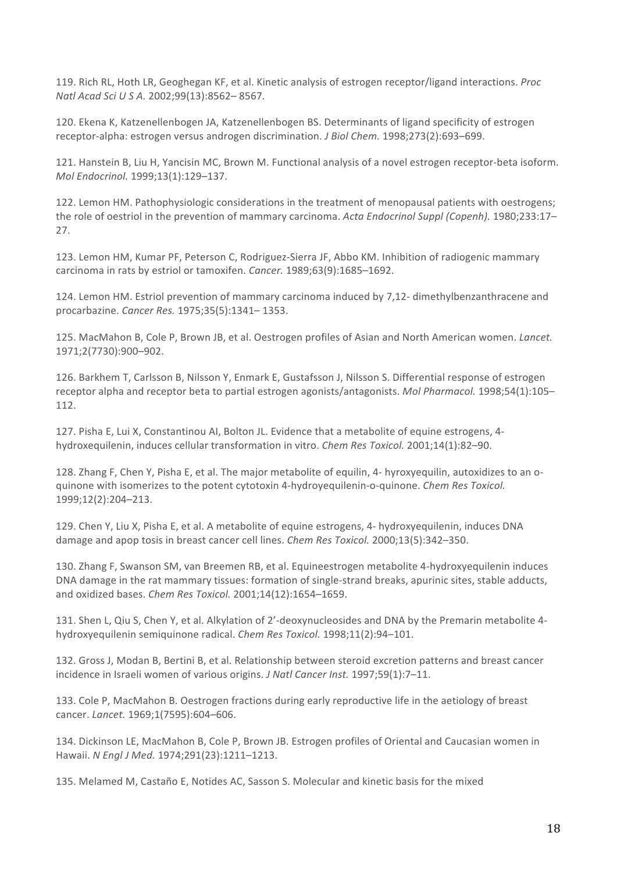119. Rich RL, Hoth LR, Geoghegan KF, et al. Kinetic analysis of estrogen receptor/ligand interactions. *Proc Natl Acad Sci U S A.* 2002;99(13):8562– 8567. 

120. Ekena K, Katzenellenbogen JA, Katzenellenbogen BS. Determinants of ligand specificity of estrogen receptor-alpha: estrogen versus androgen discrimination. *J Biol Chem.* 1998;273(2):693–699.

121. Hanstein B, Liu H, Yancisin MC, Brown M. Functional analysis of a novel estrogen receptor-beta isoform. *Mol Endocrinol.* 1999;13(1):129–137. 

122. Lemon HM. Pathophysiologic considerations in the treatment of menopausal patients with oestrogens; the role of oestriol in the prevention of mammary carcinoma. Acta Endocrinol Suppl (Copenh). 1980;233:17-27.

123. Lemon HM, Kumar PF, Peterson C, Rodriguez-Sierra JF, Abbo KM. Inhibition of radiogenic mammary carcinoma in rats by estriol or tamoxifen. *Cancer.* 1989;63(9):1685-1692.

124. Lemon HM. Estriol prevention of mammary carcinoma induced by 7,12- dimethylbenzanthracene and procarbazine. *Cancer Res.* 1975;35(5):1341– 1353. 

125. MacMahon B, Cole P, Brown JB, et al. Oestrogen profiles of Asian and North American women. *Lancet.* 1971;2(7730):900–902. 

126. Barkhem T, Carlsson B, Nilsson Y, Enmark E, Gustafsson J, Nilsson S. Differential response of estrogen receptor alpha and receptor beta to partial estrogen agonists/antagonists. *Mol Pharmacol.* 1998;54(1):105– 112. 

127. Pisha E, Lui X, Constantinou AI, Bolton JL. Evidence that a metabolite of equine estrogens, 4hydroxequilenin, induces cellular transformation in vitro. *Chem Res Toxicol.* 2001;14(1):82-90.

128. Zhang F, Chen Y, Pisha E, et al. The major metabolite of equilin, 4- hyroxyequilin, autoxidizes to an oquinone with isomerizes to the potent cytotoxin 4-hydroyequilenin-o-quinone. *Chem Res Toxicol.* 1999;12(2):204–213. 

129. Chen Y, Liu X, Pisha E, et al. A metabolite of equine estrogens, 4- hydroxyequilenin, induces DNA damage and apop tosis in breast cancer cell lines. *Chem Res Toxicol.* 2000;13(5):342–350.

130. Zhang F, Swanson SM, van Breemen RB, et al. Equineestrogen metabolite 4-hydroxyequilenin induces DNA damage in the rat mammary tissues: formation of single-strand breaks, apurinic sites, stable adducts, and oxidized bases. *Chem Res Toxicol.* 2001;14(12):1654-1659.

131. Shen L, Qiu S, Chen Y, et al. Alkylation of 2'-deoxynucleosides and DNA by the Premarin metabolite 4hydroxyequilenin semiquinone radical. *Chem Res Toxicol.* 1998;11(2):94-101.

132. Gross J, Modan B, Bertini B, et al. Relationship between steroid excretion patterns and breast cancer incidence in Israeli women of various origins. *J Natl Cancer Inst.* 1997;59(1):7-11.

133. Cole P, MacMahon B. Oestrogen fractions during early reproductive life in the aetiology of breast cancer. *Lancet.* 1969;1(7595):604–606. 

134. Dickinson LE, MacMahon B, Cole P, Brown JB. Estrogen profiles of Oriental and Caucasian women in Hawaii. *N Engl J Med.* 1974;291(23):1211–1213. 

135. Melamed M, Castaño E, Notides AC, Sasson S. Molecular and kinetic basis for the mixed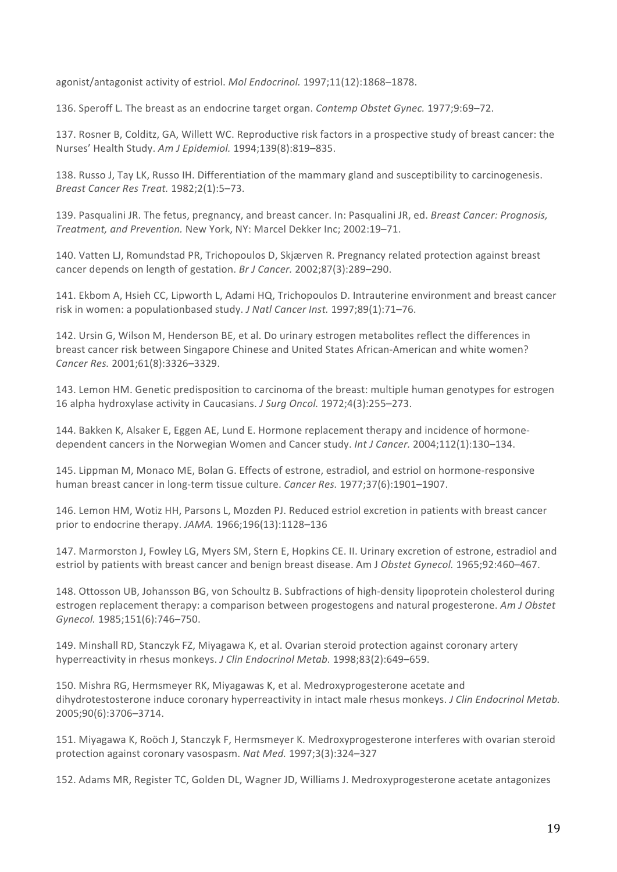agonist/antagonist activity of estriol. *Mol Endocrinol.* 1997;11(12):1868-1878.

136. Speroff L. The breast as an endocrine target organ. *Contemp Obstet Gynec.* 1977;9:69–72.

137. Rosner B, Colditz, GA, Willett WC. Reproductive risk factors in a prospective study of breast cancer: the Nurses' Health Study. *Am J Epidemiol.* 1994;139(8):819–835. 

138. Russo J, Tay LK, Russo IH. Differentiation of the mammary gland and susceptibility to carcinogenesis. *Breast Cancer Res Treat.* 1982;2(1):5–73. 

139. Pasqualini JR. The fetus, pregnancy, and breast cancer. In: Pasqualini JR, ed. *Breast Cancer: Prognosis*, *Treatment, and Prevention.* New York, NY: Marcel Dekker Inc; 2002:19–71. 

140. Vatten LJ, Romundstad PR, Trichopoulos D, Skjærven R. Pregnancy related protection against breast cancer depends on length of gestation. *Br J Cancer.* 2002;87(3):289–290.

141. Ekbom A, Hsieh CC, Lipworth L, Adami HQ, Trichopoulos D. Intrauterine environment and breast cancer risk in women: a populationbased study. *J Natl Cancer Inst.* 1997;89(1):71–76.

142. Ursin G, Wilson M, Henderson BE, et al. Do urinary estrogen metabolites reflect the differences in breast cancer risk between Singapore Chinese and United States African-American and white women? *Cancer Res.* 2001;61(8):3326–3329. 

143. Lemon HM. Genetic predisposition to carcinoma of the breast: multiple human genotypes for estrogen 16 alpha hydroxylase activity in Caucasians. *J Surg Oncol.* 1972;4(3):255–273.

144. Bakken K, Alsaker E, Eggen AE, Lund E. Hormone replacement therapy and incidence of hormonedependent cancers in the Norwegian Women and Cancer study. *Int J Cancer*. 2004;112(1):130-134.

145. Lippman M, Monaco ME, Bolan G. Effects of estrone, estradiol, and estriol on hormone-responsive human breast cancer in long-term tissue culture. *Cancer Res.* 1977;37(6):1901–1907.

146. Lemon HM, Wotiz HH, Parsons L, Mozden PJ. Reduced estriol excretion in patients with breast cancer prior to endocrine therapy. *JAMA.* 1966;196(13):1128-136

147. Marmorston J, Fowley LG, Myers SM, Stern E, Hopkins CE. II. Urinary excretion of estrone, estradiol and estriol by patients with breast cancer and benign breast disease. Am J Obstet Gynecol. 1965;92:460-467.

148. Ottosson UB, Johansson BG, von Schoultz B. Subfractions of high-density lipoprotein cholesterol during estrogen replacement therapy: a comparison between progestogens and natural progesterone. Am J Obstet *Gynecol.* 1985;151(6):746–750. 

149. Minshall RD, Stanczyk FZ, Miyagawa K, et al. Ovarian steroid protection against coronary artery hyperreactivity in rhesus monkeys. *J Clin Endocrinol Metab.* 1998;83(2):649-659.

150. Mishra RG, Hermsmeyer RK, Miyagawas K, et al. Medroxyprogesterone acetate and dihydrotestosterone induce coronary hyperreactivity in intact male rhesus monkeys. *J Clin Endocrinol Metab.* 2005;90(6):3706–3714. 

151. Miyagawa K, Roöch J, Stanczyk F, Hermsmeyer K. Medroxyprogesterone interferes with ovarian steroid protection against coronary vasospasm. Nat Med. 1997;3(3):324-327

152. Adams MR, Register TC, Golden DL, Wagner JD, Williams J. Medroxyprogesterone acetate antagonizes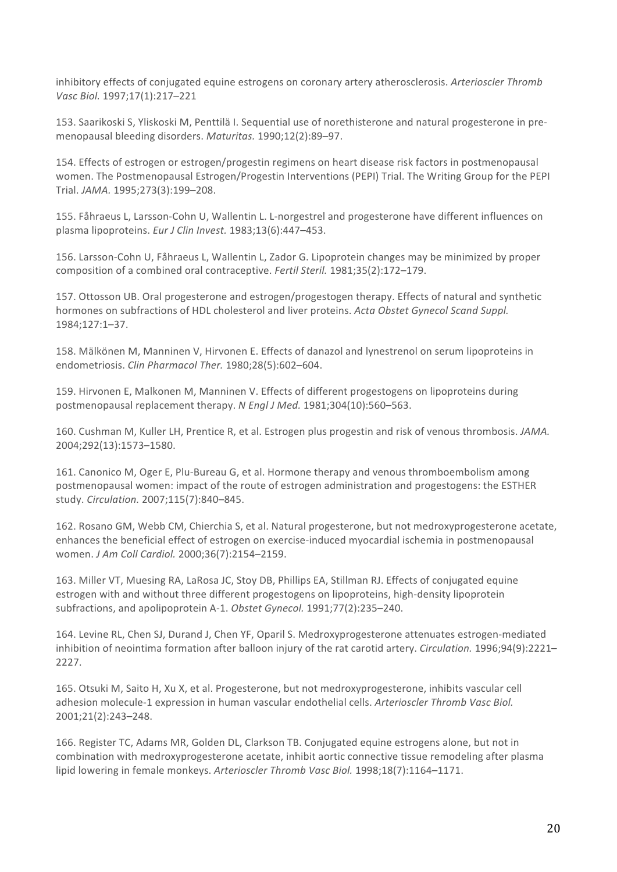inhibitory effects of conjugated equine estrogens on coronary artery atherosclerosis. Arterioscler Thromb *Vasc Biol.* 1997;17(1):217–221

153. Saarikoski S, Yliskoski M, Penttilä I. Seguential use of norethisterone and natural progesterone in premenopausal bleeding disorders. *Maturitas.* 1990;12(2):89–97. 

154. Effects of estrogen or estrogen/progestin regimens on heart disease risk factors in postmenopausal women. The Postmenopausal Estrogen/Progestin Interventions (PEPI) Trial. The Writing Group for the PEPI Trial. *JAMA.* 1995;273(3):199–208. 

155. Fåhraeus L, Larsson-Cohn U, Wallentin L. L-norgestrel and progesterone have different influences on plasma lipoproteins. *Eur J Clin Invest.* 1983;13(6):447-453.

156. Larsson-Cohn U, Fåhraeus L, Wallentin L, Zador G. Lipoprotein changes may be minimized by proper composition of a combined oral contraceptive. *Fertil Steril.* 1981;35(2):172–179.

157. Ottosson UB. Oral progesterone and estrogen/progestogen therapy. Effects of natural and synthetic hormones on subfractions of HDL cholesterol and liver proteins. Acta Obstet Gynecol Scand Suppl. 1984;127:1–37. 

158. Mälkönen M, Manninen V, Hirvonen E. Effects of danazol and lynestrenol on serum lipoproteins in endometriosis. *Clin Pharmacol Ther.* 1980;28(5):602–604. 

159. Hirvonen E, Malkonen M, Manninen V. Effects of different progestogens on lipoproteins during postmenopausal replacement therapy. N Engl J Med. 1981;304(10):560-563.

160. Cushman M, Kuller LH, Prentice R, et al. Estrogen plus progestin and risk of venous thrombosis. JAMA. 2004;292(13):1573–1580. 

161. Canonico M, Oger E, Plu-Bureau G, et al. Hormone therapy and venous thromboembolism among postmenopausal women: impact of the route of estrogen administration and progestogens: the ESTHER study. *Circulation.* 2007;115(7):840–845. 

162. Rosano GM, Webb CM, Chierchia S, et al. Natural progesterone, but not medroxyprogesterone acetate, enhances the beneficial effect of estrogen on exercise-induced myocardial ischemia in postmenopausal women. *J Am Coll Cardiol.* 2000;36(7):2154–2159. 

163. Miller VT, Muesing RA, LaRosa JC, Stoy DB, Phillips EA, Stillman RJ. Effects of conjugated equine estrogen with and without three different progestogens on lipoproteins, high-density lipoprotein subfractions, and apolipoprotein A-1. Obstet Gynecol. 1991;77(2):235–240.

164. Levine RL, Chen SJ, Durand J, Chen YF, Oparil S. Medroxyprogesterone attenuates estrogen-mediated inhibition of neointima formation after balloon injury of the rat carotid artery. *Circulation.* 1996;94(9):2221– 2227. 

165. Otsuki M, Saito H, Xu X, et al. Progesterone, but not medroxyprogesterone, inhibits vascular cell adhesion molecule-1 expression in human vascular endothelial cells. Arterioscler Thromb Vasc Biol. 2001;21(2):243–248. 

166. Register TC, Adams MR, Golden DL, Clarkson TB. Conjugated equine estrogens alone, but not in combination with medroxyprogesterone acetate, inhibit aortic connective tissue remodeling after plasma lipid lowering in female monkeys. Arterioscler Thromb Vasc Biol. 1998;18(7):1164-1171.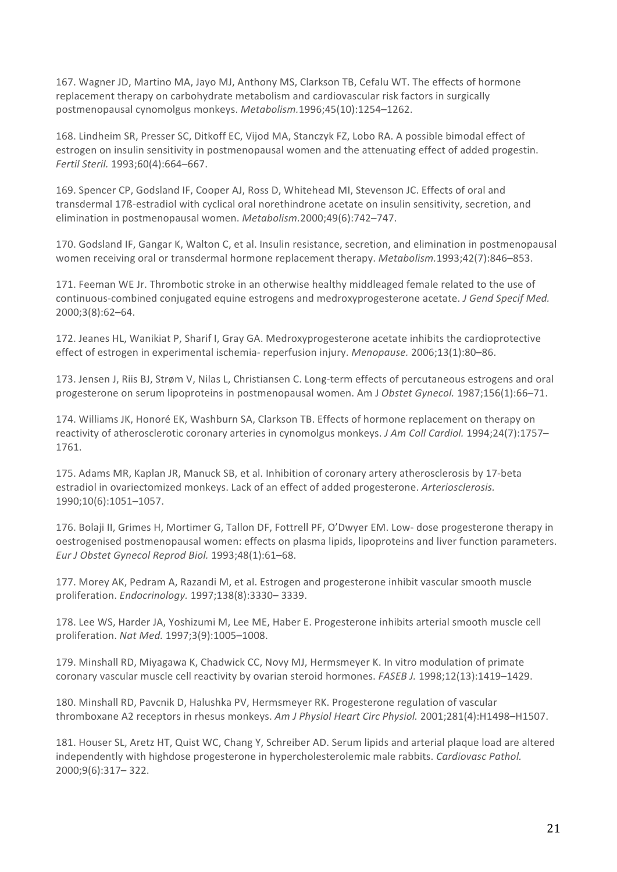167. Wagner JD, Martino MA, Jayo MJ, Anthony MS, Clarkson TB, Cefalu WT. The effects of hormone replacement therapy on carbohydrate metabolism and cardiovascular risk factors in surgically postmenopausal cynomolgus monkeys. *Metabolism.*1996;45(10):1254–1262. 

168. Lindheim SR, Presser SC, Ditkoff EC, Vijod MA, Stanczyk FZ, Lobo RA. A possible bimodal effect of estrogen on insulin sensitivity in postmenopausal women and the attenuating effect of added progestin. *Fertil Steril.* 1993;60(4):664–667. 

169. Spencer CP, Godsland IF, Cooper AJ, Ross D, Whitehead MI, Stevenson JC. Effects of oral and transdermal 17ß-estradiol with cyclical oral norethindrone acetate on insulin sensitivity, secretion, and elimination in postmenopausal women. *Metabolism.* 2000;49(6):742–747.

170. Godsland IF, Gangar K, Walton C, et al. Insulin resistance, secretion, and elimination in postmenopausal women receiving oral or transdermal hormone replacement therapy. *Metabolism.*1993;42(7):846–853.

171. Feeman WE Jr. Thrombotic stroke in an otherwise healthy middleaged female related to the use of continuous-combined conjugated equine estrogens and medroxyprogesterone acetate. *J Gend Specif Med.* 2000;3(8):62–64. 

172. Jeanes HL, Wanikiat P, Sharif I, Gray GA. Medroxyprogesterone acetate inhibits the cardioprotective effect of estrogen in experimental ischemia- reperfusion injury. *Menopause.* 2006;13(1):80-86.

173. Jensen J, Riis BJ, Strøm V, Nilas L, Christiansen C. Long-term effects of percutaneous estrogens and oral progesterone on serum lipoproteins in postmenopausal women. Am J Obstet Gynecol. 1987;156(1):66–71.

174. Williams JK, Honoré EK, Washburn SA, Clarkson TB. Effects of hormone replacement on therapy on reactivity of atherosclerotic coronary arteries in cynomolgus monkeys. *J Am Coll Cardiol.* 1994;24(7):1757– 1761. 

175. Adams MR, Kaplan JR, Manuck SB, et al. Inhibition of coronary artery atherosclerosis by 17-beta estradiol in ovariectomized monkeys. Lack of an effect of added progesterone. Arteriosclerosis. 1990;10(6):1051–1057. 

176. Bolaji II, Grimes H, Mortimer G, Tallon DF, Fottrell PF, O'Dwyer EM. Low- dose progesterone therapy in oestrogenised postmenopausal women: effects on plasma lipids, lipoproteins and liver function parameters. *Eur J Obstet Gynecol Reprod Biol.* 1993;48(1):61–68. 

177. Morey AK, Pedram A, Razandi M, et al. Estrogen and progesterone inhibit vascular smooth muscle proliferation. *Endocrinology.* 1997;138(8):3330– 3339. 

178. Lee WS, Harder JA, Yoshizumi M, Lee ME, Haber E. Progesterone inhibits arterial smooth muscle cell proliferation. *Nat Med.* 1997;3(9):1005–1008. 

179. Minshall RD, Miyagawa K, Chadwick CC, Novy MJ, Hermsmeyer K. In vitro modulation of primate coronary vascular muscle cell reactivity by ovarian steroid hormones. *FASEB J.* 1998;12(13):1419–1429.

180. Minshall RD, Pavcnik D, Halushka PV, Hermsmeyer RK. Progesterone regulation of vascular thromboxane A2 receptors in rhesus monkeys. Am J Physiol Heart Circ Physiol. 2001;281(4):H1498-H1507.

181. Houser SL, Aretz HT, Quist WC, Chang Y, Schreiber AD. Serum lipids and arterial plaque load are altered independently with highdose progesterone in hypercholesterolemic male rabbits. *Cardiovasc Pathol.* 2000;9(6):317– 322.